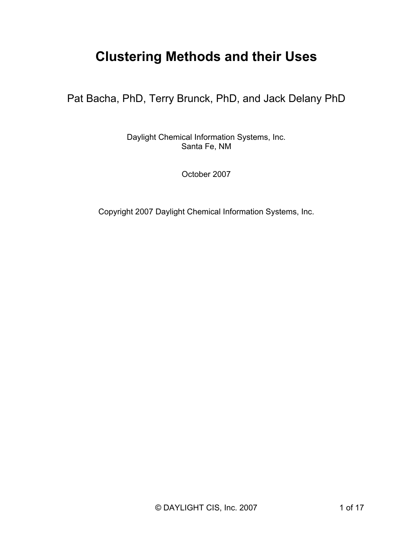# **Clustering Methods and their Uses**

Pat Bacha, PhD, Terry Brunck, PhD, and Jack Delany PhD

Daylight Chemical Information Systems, Inc. Santa Fe, NM

October 2007

Copyright 2007 Daylight Chemical Information Systems, Inc.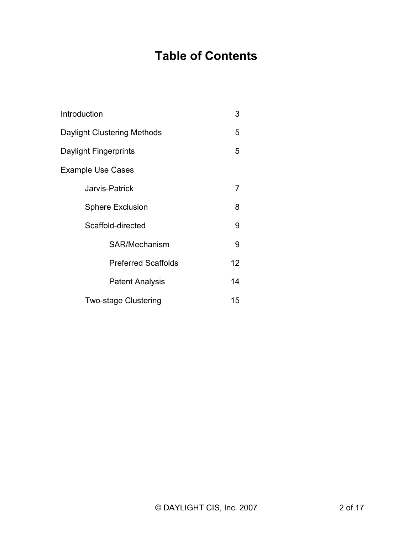# **Table of Contents**

| Introduction                | 3  |
|-----------------------------|----|
| Daylight Clustering Methods | 5  |
| Daylight Fingerprints       | 5  |
| <b>Example Use Cases</b>    |    |
| Jarvis-Patrick              | 7  |
| <b>Sphere Exclusion</b>     | 8  |
| Scaffold-directed           | 9  |
| SAR/Mechanism               | 9  |
| <b>Preferred Scaffolds</b>  | 12 |
| <b>Patent Analysis</b>      | 14 |
| <b>Two-stage Clustering</b> | 15 |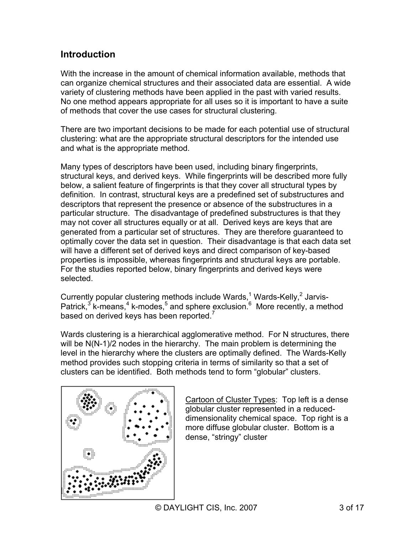# **Introduction**

With the increase in the amount of chemical information available, methods that can organize chemical structures and their associated data are essential. A wide variety of clustering methods have been applied in the past with varied results. No one method appears appropriate for all uses so it is important to have a suite of methods that cover the use cases for structural clustering.

There are two important decisions to be made for each potential use of structural clustering: what are the appropriate structural descriptors for the intended use and what is the appropriate method.

Many types of descriptors have been used, including binary fingerprints, structural keys, and derived keys. While fingerprints will be described more fully below, a salient feature of fingerprints is that they cover all structural types by definition. In contrast, structural keys are a predefined set of substructures and descriptors that represent the presence or absence of the substructures in a particular structure. The disadvantage of predefined substructures is that they may not cover all structures equally or at all. Derived keys are keys that are generated from a particular set of structures. They are therefore guaranteed to optimally cover the data set in question. Their disadvantage is that each data set will have a different set of derived keys and direct comparison of key-based properties is impossible, whereas fingerprints and structural keys are portable. For the studies reported below, binary fingerprints and derived keys were selected.

Currently popular clustering methods include Wards,<sup>1</sup> Wards-Kelly,<sup>2</sup> Jarvis-Patrick,<sup>3</sup> k-means,<sup>4</sup> k-modes,<sup>5</sup> and sphere exclusion.<sup>6</sup> More recently, a method based on derived keys has been reported.<sup>7</sup>

Wards clustering is a hierarchical agglomerative method. For N structures, there will be N(N-1)/2 nodes in the hierarchy. The main problem is determining the level in the hierarchy where the clusters are optimally defined. The Wards-Kelly method provides such stopping criteria in terms of similarity so that a set of clusters can be identified. Both methods tend to form "globular" clusters.



Cartoon of Cluster Types: Top left is a dense globular cluster represented in a reduceddimensionality chemical space. Top right is a more diffuse globular cluster. Bottom is a dense, "stringy" cluster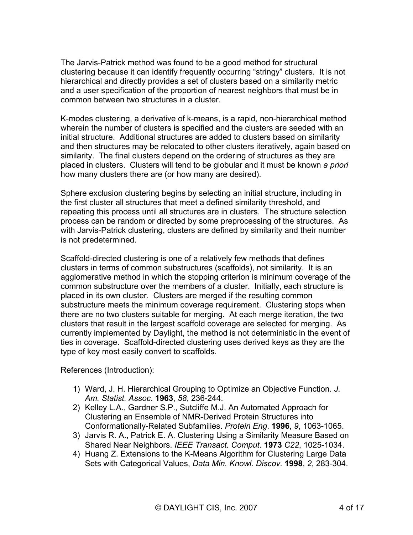The Jarvis-Patrick method was found to be a good method for structural clustering because it can identify frequently occurring "stringy" clusters. It is not hierarchical and directly provides a set of clusters based on a similarity metric and a user specification of the proportion of nearest neighbors that must be in common between two structures in a cluster.

K-modes clustering, a derivative of k-means, is a rapid, non-hierarchical method wherein the number of clusters is specified and the clusters are seeded with an initial structure. Additional structures are added to clusters based on similarity and then structures may be relocated to other clusters iteratively, again based on similarity. The final clusters depend on the ordering of structures as they are placed in clusters. Clusters will tend to be globular and it must be known *a priori* how many clusters there are (or how many are desired).

Sphere exclusion clustering begins by selecting an initial structure, including in the first cluster all structures that meet a defined similarity threshold, and repeating this process until all structures are in clusters. The structure selection process can be random or directed by some preprocessing of the structures. As with Jarvis-Patrick clustering, clusters are defined by similarity and their number is not predetermined.

Scaffold-directed clustering is one of a relatively few methods that defines clusters in terms of common substructures (scaffolds), not similarity. It is an agglomerative method in which the stopping criterion is minimum coverage of the common substructure over the members of a cluster. Initially, each structure is placed in its own cluster. Clusters are merged if the resulting common substructure meets the minimum coverage requirement. Clustering stops when there are no two clusters suitable for merging. At each merge iteration, the two clusters that result in the largest scaffold coverage are selected for merging. As currently implemented by Daylight, the method is not deterministic in the event of ties in coverage. Scaffold-directed clustering uses derived keys as they are the type of key most easily convert to scaffolds.

References (Introduction):

- 1) Ward, J. H. Hierarchical Grouping to Optimize an Objective Function. *J. Am. Statist. Assoc*. **1963**, *58*, 236-244.
- 2) Kelley L.A., Gardner S.P., Sutcliffe M.J. An Automated Approach for Clustering an Ensemble of NMR-Derived Protein Structures into Conformationally-Related Subfamilies. *Protein Eng*. **1996**, *9*, 1063-1065.
- 3) Jarvis R. A., Patrick E. A. Clustering Using a Similarity Measure Based on Shared Near Neighbors. *IEEE Transact. Comput.* **1973** *C22*, 1025-1034.
- 4) Huang Z. Extensions to the K-Means Algorithm for Clustering Large Data Sets with Categorical Values, *Data Min. Knowl. Discov.* **1998**, *2*, 283-304.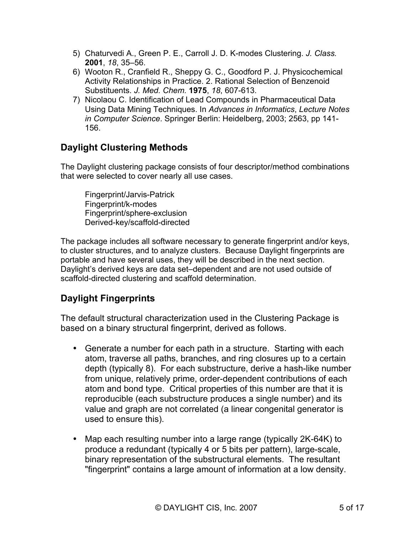- 5) Chaturvedi A., Green P. E., Carroll J. D. K-modes Clustering. *J. Class.* **2001**, *18*, 35–56.
- 6) Wooton R., Cranfield R., Sheppy G. C., Goodford P. J. Physicochemical Activity Relationships in Practice. 2. Rational Selection of Benzenoid Substituents. *J. Med. Chem.* **1975**, *18*, 607-613.
- 7) Nicolaou C. Identification of Lead Compounds in Pharmaceutical Data Using Data Mining Techniques. In *Advances in Informatics*, *Lecture Notes in Computer Science*. Springer Berlin: Heidelberg, 2003; 2563, pp 141- 156.

# **Daylight Clustering Methods**

The Daylight clustering package consists of four descriptor/method combinations that were selected to cover nearly all use cases.

Fingerprint/Jarvis-Patrick Fingerprint/k-modes Fingerprint/sphere-exclusion Derived-key/scaffold-directed

The package includes all software necessary to generate fingerprint and/or keys, to cluster structures, and to analyze clusters. Because Daylight fingerprints are portable and have several uses, they will be described in the next section. Daylight's derived keys are data set–dependent and are not used outside of scaffold-directed clustering and scaffold determination.

# **Daylight Fingerprints**

The default structural characterization used in the Clustering Package is based on a binary structural fingerprint, derived as follows.

- Generate a number for each path in a structure. Starting with each atom, traverse all paths, branches, and ring closures up to a certain depth (typically 8). For each substructure, derive a hash-like number from unique, relatively prime, order-dependent contributions of each atom and bond type. Critical properties of this number are that it is reproducible (each substructure produces a single number) and its value and graph are not correlated (a linear congenital generator is used to ensure this).
- Map each resulting number into a large range (typically 2K-64K) to produce a redundant (typically 4 or 5 bits per pattern), large-scale, binary representation of the substructural elements. The resultant "fingerprint" contains a large amount of information at a low density.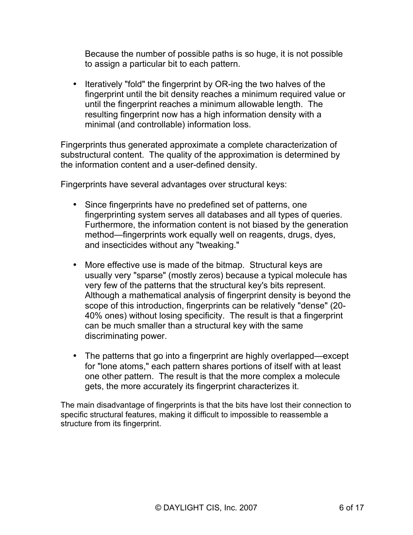Because the number of possible paths is so huge, it is not possible to assign a particular bit to each pattern.

• Iteratively "fold" the fingerprint by OR-ing the two halves of the fingerprint until the bit density reaches a minimum required value or until the fingerprint reaches a minimum allowable length. The resulting fingerprint now has a high information density with a minimal (and controllable) information loss.

Fingerprints thus generated approximate a complete characterization of substructural content. The quality of the approximation is determined by the information content and a user-defined density.

Fingerprints have several advantages over structural keys:

- Since fingerprints have no predefined set of patterns, one fingerprinting system serves all databases and all types of queries. Furthermore, the information content is not biased by the generation method—fingerprints work equally well on reagents, drugs, dyes, and insecticides without any "tweaking."
- More effective use is made of the bitmap. Structural keys are usually very "sparse" (mostly zeros) because a typical molecule has very few of the patterns that the structural key's bits represent. Although a mathematical analysis of fingerprint density is beyond the scope of this introduction, fingerprints can be relatively "dense" (20- 40% ones) without losing specificity. The result is that a fingerprint can be much smaller than a structural key with the same discriminating power.
- The patterns that go into a fingerprint are highly overlapped—except for "lone atoms," each pattern shares portions of itself with at least one other pattern. The result is that the more complex a molecule gets, the more accurately its fingerprint characterizes it.

The main disadvantage of fingerprints is that the bits have lost their connection to specific structural features, making it difficult to impossible to reassemble a structure from its fingerprint.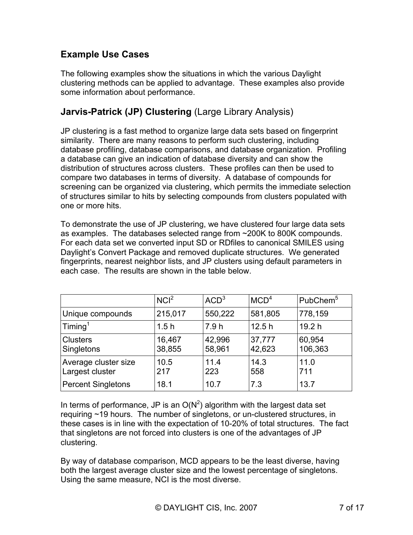# **Example Use Cases**

The following examples show the situations in which the various Daylight clustering methods can be applied to advantage. These examples also provide some information about performance.

### **Jarvis-Patrick (JP) Clustering** (Large Library Analysis)

JP clustering is a fast method to organize large data sets based on fingerprint similarity. There are many reasons to perform such clustering, including database profiling, database comparisons, and database organization. Profiling a database can give an indication of database diversity and can show the distribution of structures across clusters. These profiles can then be used to compare two databases in terms of diversity. A database of compounds for screening can be organized via clustering, which permits the immediate selection of structures similar to hits by selecting compounds from clusters populated with one or more hits.

To demonstrate the use of JP clustering, we have clustered four large data sets as examples. The databases selected range from ~200K to 800K compounds. For each data set we converted input SD or RDfiles to canonical SMILES using Daylight's Convert Package and removed duplicate structures. We generated fingerprints, nearest neighbor lists, and JP clusters using default parameters in each case. The results are shown in the table below.

|                                         | NCI <sup>2</sup> | ACD <sup>3</sup> | MCD <sup>4</sup> | PubChem <sup>5</sup> |
|-----------------------------------------|------------------|------------------|------------------|----------------------|
| Unique compounds                        | 215,017          | 550,222          | 581,805          | 778,159              |
| Timing <sup>1</sup>                     | 1.5h             | 7.9h             | 12.5h            | 19.2 h               |
| <b>Clusters</b><br>Singletons           | 16,467<br>38,855 | 42,996<br>58,961 | 37,777<br>42,623 | 60,954<br>106,363    |
| Average cluster size<br>Largest cluster | 10.5<br>217      | 11.4<br>223      | 14.3<br>558      | 11.0<br>711          |
| <b>Percent Singletons</b>               | 18.1             | 10.7             | 7.3              | 13.7                 |

In terms of performance, JP is an  $O(N^2)$  algorithm with the largest data set requiring ~19 hours. The number of singletons, or un-clustered structures, in these cases is in line with the expectation of 10-20% of total structures. The fact that singletons are not forced into clusters is one of the advantages of JP clustering.

By way of database comparison, MCD appears to be the least diverse, having both the largest average cluster size and the lowest percentage of singletons. Using the same measure, NCI is the most diverse.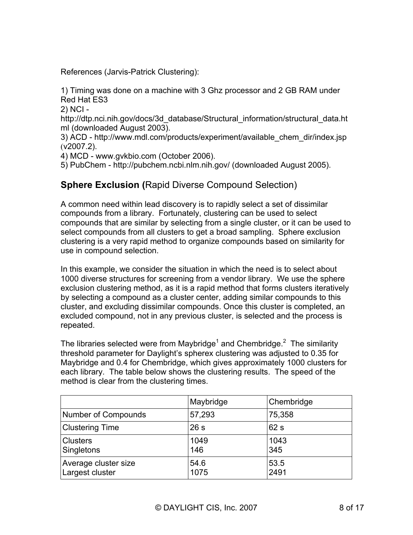References (Jarvis-Patrick Clustering):

1) Timing was done on a machine with 3 Ghz processor and 2 GB RAM under Red Hat ES3

2) NCI -

http://dtp.nci.nih.gov/docs/3d\_database/Structural\_information/structural\_data.ht ml (downloaded August 2003).

3) ACD - http://www.mdl.com/products/experiment/available\_chem\_dir/index.jsp (v2007.2).

4) MCD - www.gvkbio.com (October 2006).

5) PubChem - http://pubchem.ncbi.nlm.nih.gov/ (downloaded August 2005).

### **Sphere Exclusion (**Rapid Diverse Compound Selection)

A common need within lead discovery is to rapidly select a set of dissimilar compounds from a library. Fortunately, clustering can be used to select compounds that are similar by selecting from a single cluster, or it can be used to select compounds from all clusters to get a broad sampling. Sphere exclusion clustering is a very rapid method to organize compounds based on similarity for use in compound selection.

In this example, we consider the situation in which the need is to select about 1000 diverse structures for screening from a vendor library. We use the sphere exclusion clustering method, as it is a rapid method that forms clusters iteratively by selecting a compound as a cluster center, adding similar compounds to this cluster, and excluding dissimilar compounds. Once this cluster is completed, an excluded compound, not in any previous cluster, is selected and the process is repeated.

The libraries selected were from Maybridge<sup>1</sup> and Chembridge.<sup>2</sup> The similarity threshold parameter for Daylight's spherex clustering was adjusted to 0.35 for Maybridge and 0.4 for Chembridge, which gives approximately 1000 clusters for each library. The table below shows the clustering results. The speed of the method is clear from the clustering times.

|                                         | Maybridge    | Chembridge   |
|-----------------------------------------|--------------|--------------|
| Number of Compounds                     | 57,293       | 75,358       |
| <b>Clustering Time</b>                  | 26s          | 62s          |
| <b>Clusters</b><br>Singletons           | 1049<br>146  | 1043<br>345  |
| Average cluster size<br>Largest cluster | 54.6<br>1075 | 53.5<br>2491 |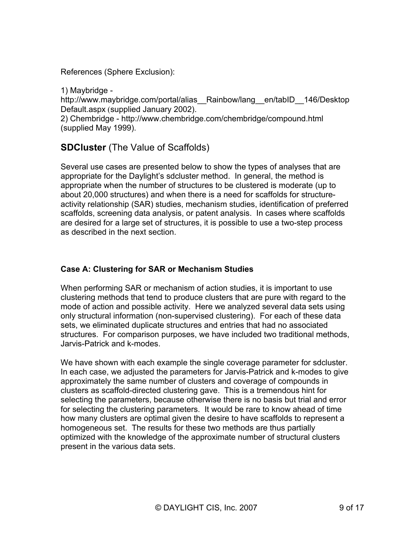References (Sphere Exclusion):

1) Maybridge -

http://www.maybridge.com/portal/alias\_Rainbow/lang\_en/tabID\_146/Desktop Default.aspx (supplied January 2002).

2) Chembridge - http://www.chembridge.com/chembridge/compound.html (supplied May 1999).

# **SDCluster** (The Value of Scaffolds)

Several use cases are presented below to show the types of analyses that are appropriate for the Daylight's sdcluster method. In general, the method is appropriate when the number of structures to be clustered is moderate (up to about 20,000 structures) and when there is a need for scaffolds for structureactivity relationship (SAR) studies, mechanism studies, identification of preferred scaffolds, screening data analysis, or patent analysis. In cases where scaffolds are desired for a large set of structures, it is possible to use a two-step process as described in the next section.

#### **Case A: Clustering for SAR or Mechanism Studies**

When performing SAR or mechanism of action studies, it is important to use clustering methods that tend to produce clusters that are pure with regard to the mode of action and possible activity. Here we analyzed several data sets using only structural information (non-supervised clustering). For each of these data sets, we eliminated duplicate structures and entries that had no associated structures. For comparison purposes, we have included two traditional methods, Jarvis-Patrick and k-modes.

We have shown with each example the single coverage parameter for sdcluster. In each case, we adjusted the parameters for Jarvis-Patrick and k-modes to give approximately the same number of clusters and coverage of compounds in clusters as scaffold-directed clustering gave. This is a tremendous hint for selecting the parameters, because otherwise there is no basis but trial and error for selecting the clustering parameters. It would be rare to know ahead of time how many clusters are optimal given the desire to have scaffolds to represent a homogeneous set. The results for these two methods are thus partially optimized with the knowledge of the approximate number of structural clusters present in the various data sets.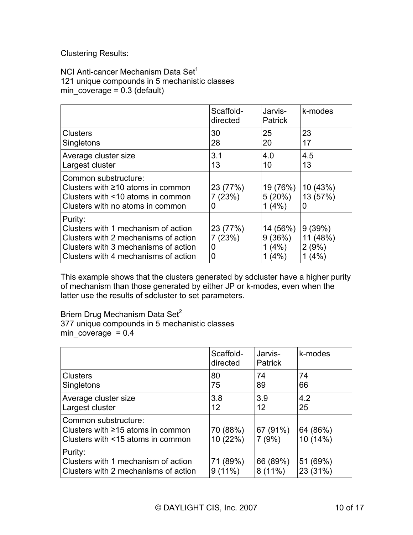Clustering Results:

NCI Anti-cancer Mechanism Data Set<sup>1</sup> 121 unique compounds in 5 mechanistic classes min\_coverage =  $0.3$  (default)

|                                                                                                                                                                        | Scaffold-<br>directed        | Jarvis-<br><b>Patrick</b>            | k-modes                              |
|------------------------------------------------------------------------------------------------------------------------------------------------------------------------|------------------------------|--------------------------------------|--------------------------------------|
| <b>Clusters</b><br>Singletons                                                                                                                                          | 30<br>28                     | 25<br>20                             | 23<br>17                             |
| Average cluster size<br>Largest cluster                                                                                                                                | 3.1<br>13                    | 4.0<br>10                            | 4.5<br>13                            |
| Common substructure:<br>Clusters with $\geq 10$ atoms in common<br>Clusters with <10 atoms in common<br>Clusters with no atoms in common                               | 23 (77%)<br>7(23%)<br>O      | 19 (76%)<br>5(20%)<br>1(4%)          | 10 (43%)<br>13 (57%)<br>0            |
| Purity:<br>Clusters with 1 mechanism of action<br>Clusters with 2 mechanisms of action<br>Clusters with 3 mechanisms of action<br>Clusters with 4 mechanisms of action | 23 (77%)<br>7(23%)<br>0<br>O | 14 (56%)<br>9(36%)<br>1(4%)<br>1(4%) | 9(39%)<br>11 (48%)<br>2(9%)<br>1(4%) |

This example shows that the clusters generated by sdcluster have a higher purity of mechanism than those generated by either JP or k-modes, even when the latter use the results of sdcluster to set parameters.

Briem Drug Mechanism Data Set<sup>2</sup>

377 unique compounds in 5 mechanistic classes min\_coverage  $= 0.4$ 

|                                                                                                      | Scaffold-<br>directed | Jarvis-<br><b>Patrick</b> | k-modes              |
|------------------------------------------------------------------------------------------------------|-----------------------|---------------------------|----------------------|
| <b>Clusters</b><br><b>Singletons</b>                                                                 | 80<br>75              | 74<br>89                  | 74<br>66             |
| Average cluster size<br>Largest cluster                                                              | 3.8<br>12             | 3.9<br>12                 | 4.2<br>25            |
| Common substructure:<br>Clusters with $\geq$ 15 atoms in common<br>Clusters with <15 atoms in common | 70 (88%)<br>10(22%)   | 67 (91%)<br>7(9%)         | 64 (86%)<br>10(14%)  |
| Purity:<br>Clusters with 1 mechanism of action<br>Clusters with 2 mechanisms of action               | 71 (89%)<br>$9(11\%)$ | 66 (89%)<br>$8(11\%)$     | 51 (69%)<br>23 (31%) |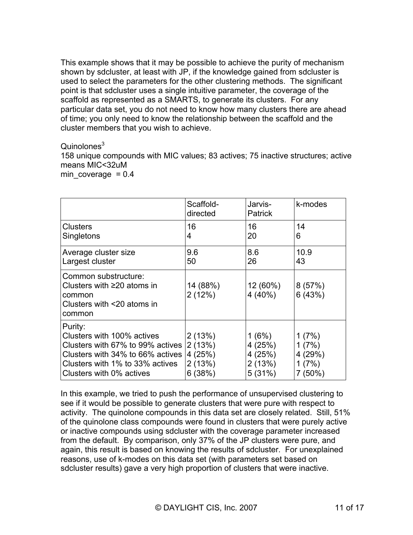This example shows that it may be possible to achieve the purity of mechanism shown by sdcluster, at least with JP, if the knowledge gained from sdcluster is used to select the parameters for the other clustering methods. The significant point is that sdcluster uses a single intuitive parameter, the coverage of the scaffold as represented as a SMARTS, to generate its clusters. For any particular data set, you do not need to know how many clusters there are ahead of time; you only need to know the relationship between the scaffold and the cluster members that you wish to achieve.

#### $Quinolones<sup>3</sup>$

158 unique compounds with MIC values; 83 actives; 75 inactive structures; active means MIC<32uM

min coverage  $= 0.4$ 

|                                                                                                                                                                              | Scaffold-<br>directed                          | Jarvis-<br>Patrick                            | k-modes                                         |
|------------------------------------------------------------------------------------------------------------------------------------------------------------------------------|------------------------------------------------|-----------------------------------------------|-------------------------------------------------|
| Clusters<br>Singletons                                                                                                                                                       | 16<br>4                                        | 16<br>20                                      | 14<br>6                                         |
| Average cluster size<br>Largest cluster                                                                                                                                      | 9.6<br>50                                      | 8.6<br>26                                     | 10.9<br>43                                      |
| Common substructure:<br>Clusters with $\geq$ 20 atoms in<br>common<br>Clusters with <20 atoms in<br>common                                                                   | 14 (88%)<br>2(12%)                             | 12(60%)<br>$4(40\%)$                          | 8(57%)<br>6(43%)                                |
| Purity:<br>Clusters with 100% actives<br>Clusters with 67% to 99% actives<br>Clusters with 34% to 66% actives<br>Clusters with 1% to 33% actives<br>Clusters with 0% actives | 2(13%)<br>2(13%)<br>4(25%)<br>2(13%)<br>6(38%) | 1(6%)<br>4(25%)<br>4(25%)<br>2(13%)<br>5(31%) | 1(7%)<br>1(7%)<br>4 (29%)<br>1(7%)<br>$7(50\%)$ |

In this example, we tried to push the performance of unsupervised clustering to see if it would be possible to generate clusters that were pure with respect to activity. The quinolone compounds in this data set are closely related. Still, 51% of the quinolone class compounds were found in clusters that were purely active or inactive compounds using sdcluster with the coverage parameter increased from the default. By comparison, only 37% of the JP clusters were pure, and again, this result is based on knowing the results of sdcluster. For unexplained reasons, use of k-modes on this data set (with parameters set based on sdcluster results) gave a very high proportion of clusters that were inactive.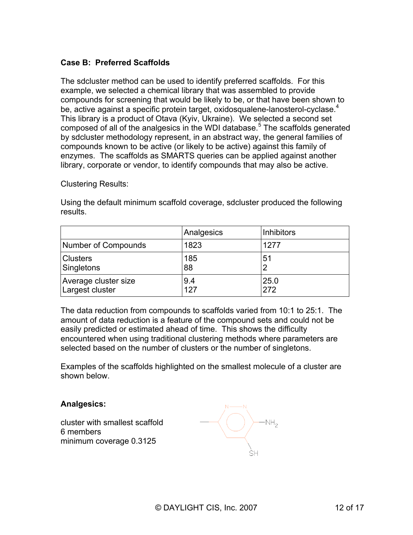#### **Case B: Preferred Scaffolds**

The sdcluster method can be used to identify preferred scaffolds. For this example, we selected a chemical library that was assembled to provide compounds for screening that would be likely to be, or that have been shown to be, active against a specific protein target, oxidosqualene-lanosterol-cyclase.<sup>4</sup> This library is a product of Otava (Kyiv, Ukraine). We selected a second set composed of all of the analgesics in the WDI database.<sup>5</sup> The scaffolds generated by sdcluster methodology represent, in an abstract way, the general families of compounds known to be active (or likely to be active) against this family of enzymes. The scaffolds as SMARTS queries can be applied against another library, corporate or vendor, to identify compounds that may also be active.

Clustering Results:

Using the default minimum scaffold coverage, sdcluster produced the following results.

|                      | Analgesics | <b>Inhibitors</b> |
|----------------------|------------|-------------------|
| Number of Compounds  | 1823       | 1277              |
| <b>Clusters</b>      | 185        | 51                |
| Singletons           | 88         | ာ                 |
| Average cluster size | 9.4        | 25.0              |
| Largest cluster      | 127        | 272               |

The data reduction from compounds to scaffolds varied from 10:1 to 25:1. The amount of data reduction is a feature of the compound sets and could not be easily predicted or estimated ahead of time. This shows the difficulty encountered when using traditional clustering methods where parameters are selected based on the number of clusters or the number of singletons.

Examples of the scaffolds highlighted on the smallest molecule of a cluster are shown below.

#### **Analgesics:**

cluster with smallest scaffold 6 members minimum coverage 0.3125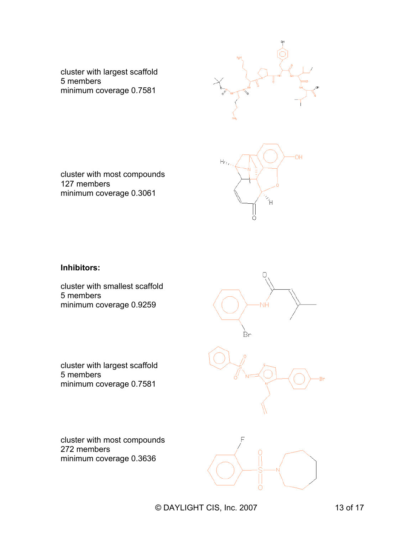

cluster with largest scaffold 5 members minimum coverage 0.7581



cluster with most compounds 127 members minimum coverage 0.3061

#### **Inhibitors:**

cluster with smallest scaffold 5 members minimum coverage 0.9259



cluster with largest scaffold 5 members minimum coverage 0.7581

cluster with most compounds 272 members minimum coverage 0.3636

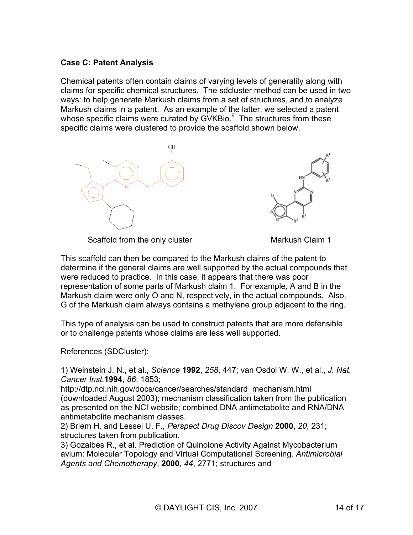#### **Case C: Patent Analysis**

Chemical patents often contain claims of varying levels of generality along with claims for specific chemical structures. The sdcluster method can be used in two ways: to help generate Markush claims from a set of structures, and to analyze Markush claims in a patent. As an example of the latter, we selected a patent whose specific claims were curated by GVKBio. $^6$  The structures from these specific claims were clustered to provide the scaffold shown below.





Scaffold from the only cluster Markush Claim 1

This scaffold can then be compared to the Markush claims of the patent to determine if the general claims are well supported by the actual compounds that were reduced to practice. In this case, it appears that there was poor representation of some parts of Markush claim 1. For example, A and B in the Markush claim were only O and N, respectively, in the actual compounds. Also, G of the Markush claim always contains a methylene group adjacent to the ring.

This type of analysis can be used to construct patents that are more defensible or to challenge patents whose claims are less well supported.

References (SDCluster):

1) Weinstein J. N., et al., *Science* **1992**, *258*, 447; van Osdol W. W., et al., *J. Nat. Cancer Inst.***1994**, *86*: 1853;

http://dtp.nci.nih.gov/docs/cancer/searches/standard\_mechanism.html (downloaded August 2003); mechanism classification taken from the publication as presented on the NCI website; combined DNA antimetabolite and RNA/DNA antimetabolite mechanism classes.

2) Briem H. and Lessel U. F., *Perspect Drug Discov Design* **2000**, *20*, 231; structures taken from publication.

3) Gozalbes R., et al. Prediction of Quinolone Activity Against Mycobacterium avium: Molecular Topology and Virtual Computational Screening. *Antimicrobial Agents and Chemotherapy*, **2000**, *44*, 2771; structures and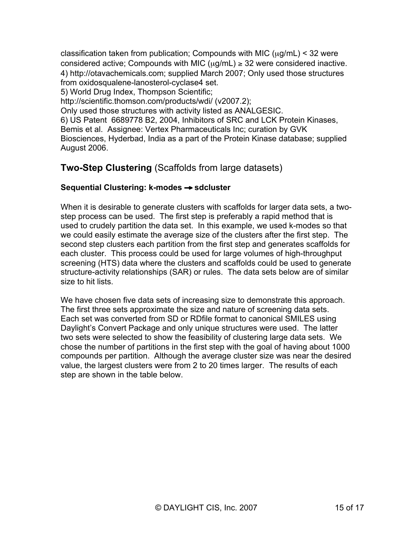classification taken from publication; Compounds with MIC  $(\mu g/mL)$  < 32 were considered active; Compounds with MIC ( $\mu$ g/mL)  $\geq$  32 were considered inactive. 4) http://otavachemicals.com; supplied March 2007; Only used those structures from oxidosqualene-lanosterol-cyclase4 set.

5) World Drug Index, Thompson Scientific;

http://scientific.thomson.com/products/wdi/ (v2007.2);

Only used those structures with activity listed as ANALGESIC.

6) US Patent 6689778 B2, 2004, Inhibitors of SRC and LCK Protein Kinases, Bemis et al. Assignee: Vertex Pharmaceuticals Inc; curation by GVK Biosciences, Hyderbad, India as a part of the Protein Kinase database; supplied August 2006.

# **Two-Step Clustering** (Scaffolds from large datasets)

#### **Sequential Clustering: k-modes** → **sdcluster**

When it is desirable to generate clusters with scaffolds for larger data sets, a twostep process can be used. The first step is preferably a rapid method that is used to crudely partition the data set. In this example, we used k-modes so that we could easily estimate the average size of the clusters after the first step. The second step clusters each partition from the first step and generates scaffolds for each cluster. This process could be used for large volumes of high-throughput screening (HTS) data where the clusters and scaffolds could be used to generate structure-activity relationships (SAR) or rules. The data sets below are of similar size to hit lists.

We have chosen five data sets of increasing size to demonstrate this approach. The first three sets approximate the size and nature of screening data sets. Each set was converted from SD or RDfile format to canonical SMILES using Daylight's Convert Package and only unique structures were used. The latter two sets were selected to show the feasibility of clustering large data sets. We chose the number of partitions in the first step with the goal of having about 1000 compounds per partition. Although the average cluster size was near the desired value, the largest clusters were from 2 to 20 times larger. The results of each step are shown in the table below.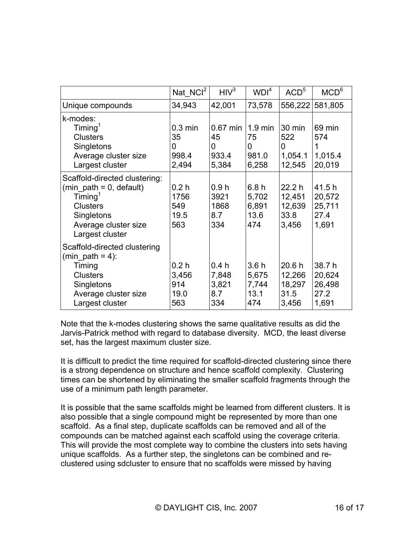|                                                                                                                                                                   | Nat NCI <sup>2</sup>                            | HIV <sup>3</sup>                        | WDI <sup>4</sup>                               | ACD <sup>5</sup>                           | MCD <sup>6</sup>                            |
|-------------------------------------------------------------------------------------------------------------------------------------------------------------------|-------------------------------------------------|-----------------------------------------|------------------------------------------------|--------------------------------------------|---------------------------------------------|
| Unique compounds                                                                                                                                                  | 34,943                                          | 42,001                                  | 73,578                                         |                                            | 556,222 581,805                             |
| k-modes:<br>$T$ iming <sup>1</sup><br><b>Clusters</b><br>Singletons<br>Average cluster size<br>Largest cluster                                                    | $0.3 \text{ min}$<br>35<br>0<br>998.4<br>2,494  | $0.67$ min<br>45<br>0<br>933.4<br>5,384 | $1.9 \text{ min}$<br>75<br>0<br>981.0<br>6,258 | 30 min<br>522<br>0<br>1,054.1<br>12,545    | 69 min<br>574<br>1<br>1,015.4<br>20,019     |
| Scaffold-directed clustering:<br>(min path = $0$ , default)<br>$T$ iming <sup>1</sup><br><b>Clusters</b><br>Singletons<br>Average cluster size<br>Largest cluster | 0.2 <sub>h</sub><br>1756<br>549<br>19.5<br>563  | 0.9h<br>3921<br>1868<br>8.7<br>334      | 6.8h<br>5,702<br>6,891<br>13.6<br>474          | 22.2h<br>12,451<br>12,639<br>33.8<br>3,456 | 41.5 h<br>20,572<br>25,711<br>27.4<br>1,691 |
| Scaffold-directed clustering<br>(min path = 4):<br>Timing<br><b>Clusters</b><br>Singletons<br>Average cluster size<br>Largest cluster                             | 0.2 <sub>h</sub><br>3,456<br>914<br>19.0<br>563 | 0.4h<br>7,848<br>3,821<br>8.7<br>334    | 3.6h<br>5,675<br>7,744<br>13.1<br>474          | 20.6h<br>12,266<br>18,297<br>31.5<br>3,456 | 38.7h<br>20,624<br>26,498<br>27.2<br>1,691  |

Note that the k-modes clustering shows the same qualitative results as did the Jarvis-Patrick method with regard to database diversity. MCD, the least diverse set, has the largest maximum cluster size.

It is difficult to predict the time required for scaffold-directed clustering since there is a strong dependence on structure and hence scaffold complexity. Clustering times can be shortened by eliminating the smaller scaffold fragments through the use of a minimum path length parameter.

It is possible that the same scaffolds might be learned from different clusters. It is also possible that a single compound might be represented by more than one scaffold. As a final step, duplicate scaffolds can be removed and all of the compounds can be matched against each scaffold using the coverage criteria. This will provide the most complete way to combine the clusters into sets having unique scaffolds. As a further step, the singletons can be combined and reclustered using sdcluster to ensure that no scaffolds were missed by having